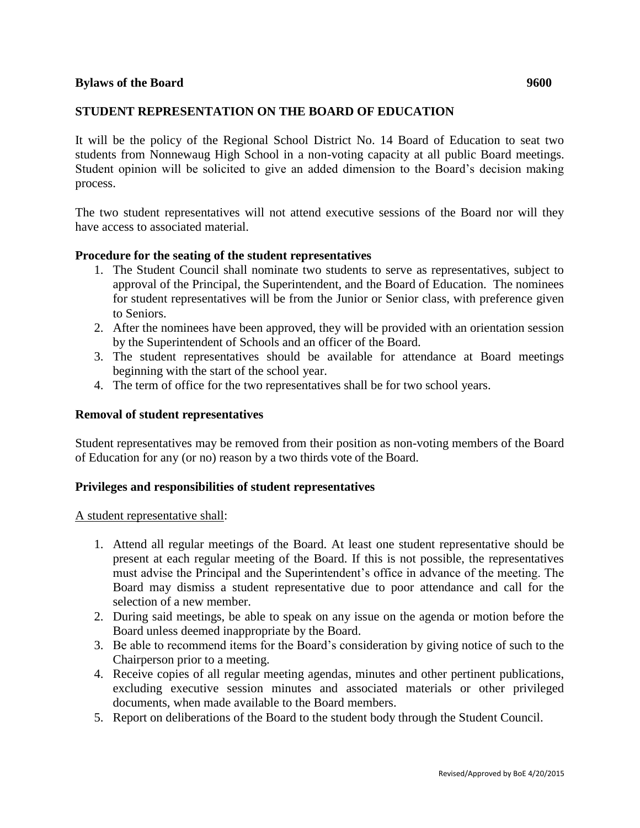## **STUDENT REPRESENTATION ON THE BOARD OF EDUCATION**

It will be the policy of the Regional School District No. 14 Board of Education to seat two students from Nonnewaug High School in a non-voting capacity at all public Board meetings. Student opinion will be solicited to give an added dimension to the Board's decision making process.

The two student representatives will not attend executive sessions of the Board nor will they have access to associated material.

## **Procedure for the seating of the student representatives**

- 1. The Student Council shall nominate two students to serve as representatives, subject to approval of the Principal, the Superintendent, and the Board of Education. The nominees for student representatives will be from the Junior or Senior class, with preference given to Seniors.
- 2. After the nominees have been approved, they will be provided with an orientation session by the Superintendent of Schools and an officer of the Board.
- 3. The student representatives should be available for attendance at Board meetings beginning with the start of the school year.
- 4. The term of office for the two representatives shall be for two school years.

## **Removal of student representatives**

Student representatives may be removed from their position as non-voting members of the Board of Education for any (or no) reason by a two thirds vote of the Board.

## **Privileges and responsibilities of student representatives**

A student representative shall:

- 1. Attend all regular meetings of the Board. At least one student representative should be present at each regular meeting of the Board. If this is not possible, the representatives must advise the Principal and the Superintendent's office in advance of the meeting. The Board may dismiss a student representative due to poor attendance and call for the selection of a new member.
- 2. During said meetings, be able to speak on any issue on the agenda or motion before the Board unless deemed inappropriate by the Board.
- 3. Be able to recommend items for the Board's consideration by giving notice of such to the Chairperson prior to a meeting.
- 4. Receive copies of all regular meeting agendas, minutes and other pertinent publications, excluding executive session minutes and associated materials or other privileged documents, when made available to the Board members.
- 5. Report on deliberations of the Board to the student body through the Student Council.